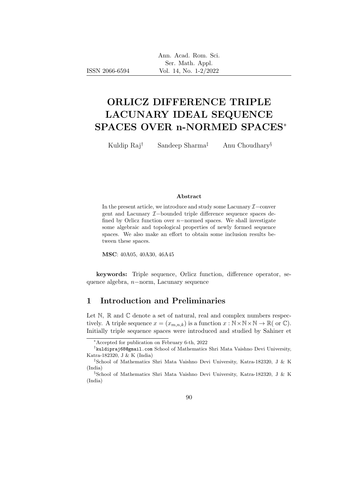|                | Ann. Acad. Rom. Sci.    |
|----------------|-------------------------|
|                | Ser. Math. Appl.        |
| ISSN 2066-6594 | Vol. 14, No. $1-2/2022$ |

# ORLICZ DIFFERENCE TRIPLE LACUNARY IDEAL SEQUENCE SPACES OVER n-NORMED SPACES<sup>∗</sup>

Kuldip Raj<sup>†</sup> Sandeep Sharma<sup>‡</sup> Anu Choudhary<sup>§</sup>

#### Abstract

In the present article, we introduce and study some Lacunary  $\mathcal{I}-$ conver gent and Lacunary I−bounded triple difference sequence spaces defined by Orlicz function over  $n$ -normed spaces. We shall investigate some algebraic and topological properties of newly formed sequence spaces. We also make an effort to obtain some inclusion results between these spaces.

MSC: 40A05, 40A30, 46A45

keywords: Triple sequence, Orlicz function, difference operator, sequence algebra, n−norm, Lacunary sequence

# 1 Introduction and Preliminaries

Let  $\mathbb N$ ,  $\mathbb R$  and  $\mathbb C$  denote a set of natural, real and complex numbers respectively. A triple sequence  $x = (x_{m,n,k})$  is a function  $x : \mathbb{N} \times \mathbb{N} \times \mathbb{N} \to \mathbb{R}$  (or  $\mathbb{C}$ ). Initially triple sequence spaces were introduced and studied by Sahiner et

<sup>∗</sup>Accepted for publication on February 6-th, 2022

<sup>†</sup> kuldipraj68@gmail.com School of Mathematics Shri Mata Vaishno Devi University, Katra-182320, J & K (India)

<sup>‡</sup>School of Mathematics Shri Mata Vaishno Devi University, Katra-182320, J & K (India)

<sup>§</sup>School of Mathematics Shri Mata Vaishno Devi University, Katra-182320, J & K (India)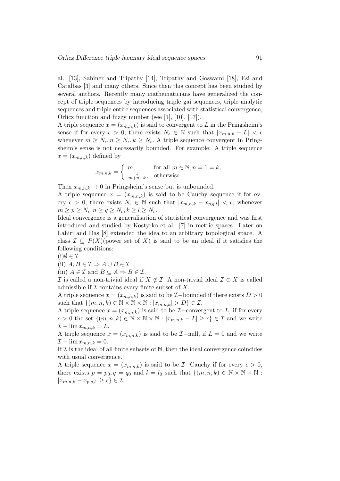al. [13], Sahiner and Tripathy [14], Tripathy and Goswami [18], Esi and Catalbas [3] and many others. Since then this concept has been studied by several authors. Recently many mathematicians have generalized the concept of triple sequences by introducing triple gai sequences, triple analytic sequences and triple entire sequences associated with statistical convergence, Orlicz function and fuzzy number (see [1], [10], [17]).

A triple sequence  $x = (x_{m,n,k})$  is said to convergent to L in the Pringsheim's sense if for every  $\epsilon > 0$ , there exists  $N_{\epsilon} \in \mathbb{N}$  such that  $|x_{m,n,k} - L| < \epsilon$ whenever  $m \geq N_{\epsilon}, n \geq N_{\epsilon}, k \geq N_{\epsilon}$ . A triple sequence convergent in Pringsheim's sense is not necessarily bounded. For example: A triple sequence  $x = (x_{m,n,k})$  defined by

$$
x_{m,n,k} = \begin{cases} m, & \text{for all } m \in \mathbb{N}, n = 1 = k, \\ \frac{1}{m+n+k}, & \text{otherwise.} \end{cases}
$$

Then  $x_{m,n,k} \to 0$  in Pringsheim's sense but is unbounded.

A triple sequence  $x = (x_{m,n,k})$  is said to be Cauchy sequence if for every  $\epsilon > 0$ , there exists  $N_{\epsilon} \in \mathbb{N}$  such that  $|x_{m,n,k} - x_{p,q,l}| < \epsilon$ , whenever  $m \ge p \ge N_{\epsilon}, n \ge q \ge N_{\epsilon}, k \ge l \ge N_{\epsilon}.$ 

Ideal convergence is a generalisation of statistical convergence and was first introduced and studied by Kostyrko et al. [7] in metric spaces. Later on Lahiri and Das [8] extended the idea to an arbitrary topological space. A class  $\mathcal{I} \subseteq P(X)$ (power set of X) is said to be an ideal if it satisfies the following conditions:

 $(i)$  $\emptyset \in \mathcal{I}$ 

(ii)  $A, B \in \mathcal{I} \Rightarrow A \cup B \in \mathcal{I}$ 

(iii)  $A \in \mathcal{I}$  and  $B \subseteq A \Rightarrow B \in \mathcal{I}$ .

I is called a non-trivial ideal if  $X \notin \mathcal{I}$ . A non-trivial ideal  $\mathcal{I} \in X$  is called admissible if  $\mathcal I$  contains every finite subset of  $X$ .

A triple sequence  $x = (x_{m,n,k})$  is said to be  $\mathcal{I}-$ bounded if there exists  $D > 0$ such that  $\{(m, n, k) \in \mathbb{N} \times \mathbb{N} \times \mathbb{N} : |x_{m,n,k}| > D\} \in \mathcal{I}$ .

A triple sequence  $x = (x_{m,n,k})$  is said to be  $\mathcal{I}-$ convergent to L, if for every  $\epsilon > 0$  the set  $\{(m, n, k) \in \mathbb{N} \times \mathbb{N} \times \mathbb{N} : |x_{m,n,k} - L| \geq \epsilon\} \in \mathcal{I}$  and we write  $\mathcal{I} - \lim x_{m,n,k} = L.$ 

A triple sequence  $x = (x_{m,n,k})$  is said to be  $\mathcal{I}-$ null, if  $L = 0$  and we write  $\mathcal{I} - \lim x_{m,n,k} = 0.$ 

If  $\mathcal I$  is the ideal of all finite subsets of  $\mathbb N$ , then the ideal convergence coincides with usual convergence.

A triple sequence  $x = (x_{m,n,k})$  is said to be  $\mathcal{I}-$ Cauchy if for every  $\epsilon > 0$ , there exists  $p = p_0, q = q_0$  and  $l = l_0$  such that  $\{(m, n, k) \in \mathbb{N} \times \mathbb{N} \times \mathbb{N} :$  $|x_{m,n,k} - x_{p,q,l}| \geq \epsilon$   $\in \mathcal{I}.$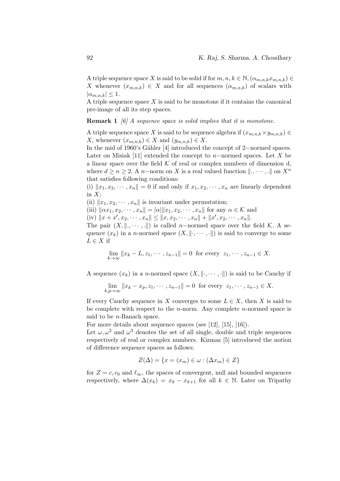A triple sequence space X is said to be solid if for  $m, n, k \in \mathbb{N}, (\alpha_{m,n,k}x_{m,n,k}) \in$ X whenever  $(x_{m,n,k}) \in X$  and for all sequences  $(\alpha_{m,n,k})$  of scalars with  $|\alpha_{m,n,k}| \leq 1.$ 

A triple sequence space  $X$  is said to be monotone if it contains the canonical pre-image of all its step spaces.

**Remark 1** [6] A sequence space is solid implies that it is monotone.

A triple sequence space X is said to be sequence algebra if  $(x_{m,n,k} \times y_{m,n,k}) \in$ X, whenever  $(x_{m,n,k}) \in X$  and  $(y_{m,n,k}) \in X$ .

In the mid of 1960's Gähler [4] introduced the concept of 2−normed spaces. Later on Misiak [11] extended the concept to n–normed spaces. Let X be a linear space over the field  $K$  of real or complex numbers of dimension d, where  $d \ge n \ge 2$ . A n-norm on X is a real valued function  $\|.\ldots,\ldots\|$  on  $X^n$ that satisfies following conditions:

(i)  $||x_1, x_2, \dots, x_n|| = 0$  if and only if  $x_1, x_2, \dots, x_n$  are linearly dependent in  $X;$ 

(ii)  $||x_1, x_2, \dots, x_n||$  is invariant under permutation;

(iii)  $\|\alpha x_1, x_2, \cdots, x_n\| = |\alpha| \|x_1, x_2, \cdots, x_n\|$  for any  $\alpha \in \mathcal{K}$  and

(iv)  $||x + x', x_2, \dots, x_n|| \le ||x, x_2, \dots, x_n|| + ||x', x_2, \dots, x_n||.$ 

The pair  $(X, \|., \dots, \|)$  is called n-normed space over the field K. A sequence  $(x_k)$  in a n-normed space  $(X, \|\cdot, \cdots, \cdot\|)$  is said to converge to some  $L \in X$  if

$$
\lim_{k \to \infty} ||x_k - L, z_1, \cdots, z_{n-1}|| = 0 \text{ for every } z_1, \cdots, z_{n-1} \in X.
$$

A sequence  $(x_k)$  in a *n*-normed space  $(X, \|\cdot, \cdots, \cdot\|)$  is said to be Cauchy if

$$
\lim_{k,p \to \infty} ||x_k - x_p, z_1, \cdots, z_{n-1}|| = 0 \text{ for every } z_1, \cdots, z_{n-1} \in X.
$$

If every Cauchy sequence in X converges to some  $L \in X$ , then X is said to be complete with respect to the *n*-norm. Any complete *n*-normed space is said to be n-Banach space.

For more details about sequence spaces (see [12], [15], [16]).

Let  $\omega, \omega^2$  and  $\omega^3$  denotes the set of all single, double and triple sequences respectively of real or complex numbers. Kizmaz [5] introduced the notion of difference sequence spaces as follows:

$$
Z(\Delta) = \{x = (x_m) \in \omega : (\Delta x_m) \in Z\}
$$

for  $Z = c$ ,  $c_0$  and  $\ell_{\infty}$ , the spaces of convergent, null and bounded sequences respectively, where  $\Delta(x_k) = x_k - x_{k+1}$  for all  $k \in \mathbb{N}$ . Later on Tripathy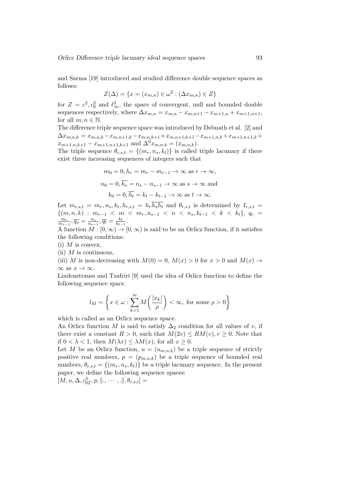and Sarma [19] introduced and studied difference double sequence spaces as follows:

$$
Z(\Delta) = \{x = (x_{m,n}) \in \omega^2 : (\Delta x_{m,n}) \in Z\}
$$

for  $Z = c^2, c_0^2$  and  $\ell_{\infty}^2$ , the space of convergent, null and bounded double sequences respectively, where  $\Delta x_{m,n} = x_{m,n} - x_{m,n+1} - x_{m+1,n} + x_{m+1,n+1}$ , for all  $m, n \in \mathbb{N}$ .

The difference triple sequence space was introduced by Debnath et al. [2] and  $\Delta x_{m,n,k} = x_{m,n,k} - x_{m,n+1,k} - x_{m,n,k+1} + x_{m,n+1,k+1} - x_{m+1,n,k} + x_{m+1,n+1,k} +$  $x_{m+1,n,k+1} - x_{m+1,n+1,k+1}$  and  $\Delta^{0} x_{m,n,k} = (x_{m,n,k}).$ 

The triple sequence  $\theta_{r,s,t} = \{(m_r, n_s, k_t)\}\$ is called triple lacunary if there exist three increasing sequences of integers such that

$$
m_0 = 0, h_r = m_r - m_{r-1} \to \infty \text{ as } r \to \infty,
$$
  

$$
n_0 = 0, \overline{h_s} = n_s - n_{s-1} \to \infty \text{ as } s \to \infty \text{ and}
$$
  

$$
k_0 = 0, \overline{h_t} = k_t - k_{t-1} \to \infty \text{ as } t \to \infty.
$$

Let  $m_{r,s,t} = m_r, n_s, k_t, h_{r,s,t} = h_r h_s h_t$  and  $\theta_{r,s,t}$  is determined by  $I_{r,s,t}$  ${(m, n, k) : m_{r-1} < m < m_r, n_{s-1} < n < n_s, k_{t-1} < k < k_t}, q_r =$  $\overline{m}_r$  $\frac{m_r}{m_{r-1}}, \overline{q_s} = \frac{n_s}{n_{s-1}}$  $\frac{n_s}{n_{s-1}}, \overline{q_t} = \frac{k_t}{k_{t-1}}$  $\frac{k_t}{k_{t-1}}$ .

A function  $M : [0, \infty) \to [0, \infty)$  is said to be an Orlicz function, if it satisfies the following conditions:

 $(i)$  M is convex,

(ii)  $M$  is continuous,

(iii) M is non-decreasing with  $M(0) = 0$ ,  $M(x) > 0$  for  $x > 0$  and  $M(x) \rightarrow$  $\infty$  as  $x\to\infty.$ 

Lindenstrauss and Tzafriri [9] used the idea of Orlicz function to define the following sequence space.

$$
l_M = \left\{ x \in \omega : \sum_{k=1}^{\infty} M\left(\frac{|x_k|}{\rho}\right) < \infty, \text{ for some } \rho > 0 \right\}
$$

which is called as an Orlicz sequence space.

An Orlicz function M is said to satisfy  $\Delta_2$  condition for all values of v, if there exist a constant  $R > 0$ , such that  $M(2v) \le RM(v), v \ge 0$ . Note that if  $0 < \lambda < 1$ , then  $M(\lambda x) \leq \lambda M(x)$ , for all  $x \geq 0$ .

Let M be an Orlicz function,  $u = (u_{m,n,k})$  be a triple sequence of strictly positive real numbers,  $p = (p_{m,n,k})$  be a triple sequence of bounded real numbers,  $\theta_{r,s,t} = \{(m_r, n_s, k_t)\}\$ be a triple lacunary sequence. In the present paper, we define the following sequence spaces:

 $[M, u, \Delta, c_{0\mathcal{I}}^3, p, \|\ldots \cdot \ldots, \cdot\|, \theta_{r,s,t}] =$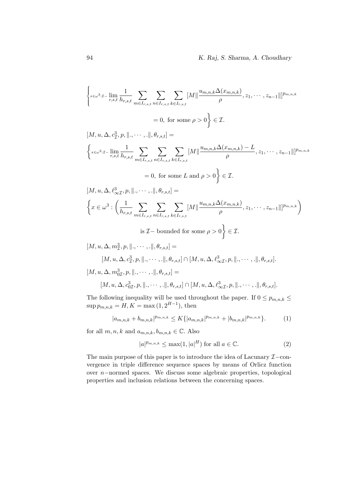$$
\begin{split}\n\left\{\begin{aligned}\n&_{x \in \omega^{3} : \mathcal{I}-\lim_{r,s,t} \frac{1}{h_{r,s,t}} \sum_{m \in I_{r,s,t}} \sum_{n \in I_{r,s,t}} \sum_{k \in I_{r,s,t}} [M] \frac{u_{m,n,k} \Delta(x_{m,n,k})}{\rho}, z_1, \cdots, z_{n-1}]]^{p_{m,n,k}} \\
&= 0, \text{ for some } \rho > 0\n\end{aligned}\right\} \in \mathcal{I}.\n\left[\left.M, u, \Delta, c_1^3, p, \left.\right\|, \cdots, \left.\right\|, \theta_{r,s,t}\right] =\n\begin{cases}\n&_{x \in \omega^{3} : \mathcal{I}-\lim_{r,s,t} \frac{1}{h_{r,s,t}} \sum_{m \in I_{r,s,t}} \sum_{k \in I_{r,s,t}} [M] \frac{u_{m,n,k} \Delta(x_{m,n,k}) - L}{\rho}, z_1, \cdots, z_{n-1}]]^{p_{m,n,k}} \\
&= 0, \text{ for some } L \text{ and } \rho > 0\n\end{cases}\n\right\} \in \mathcal{I}.\n\left[\left.M, u, \Delta, \ell_{\infty \mathcal{I}}^3, p, \left.\right\|, \cdots, \left.\right\|, \theta_{r,s,t}\right] =\n\begin{cases}\n&_{x \in \omega^{3} : \left(\frac{1}{h_{r,s,t}} \sum_{m \in I_{r,s,t}} \sum_{k \in I_{r,s,t}} [M] \frac{u_{m,n,k} \Delta(x_{m,n,k})}{\rho}, z_1, \cdots, z_{n-1}]\right|^{p_{m,n,k}}\right) \\
&= 0, \text{ for some } L \text{ and } \rho > 0\n\end{cases}\n\in \mathcal{I}.\n\left[\left.M, u, \Delta, n_2^3, p, \left.\right\|, \cdots, \left.\right\|, \theta_{r,s,t}\right] =\n\begin{cases}\n&_{x \in \omega^{3} : \left(\sum_{k \in I_{r,s,t}} \sum_{m \in I_{r,s,t}} \sum_{k \in I_{r,s,t}} [M] \frac{u_{m,n,k} \Delta(x_{m,n,k})}{\rho}, z_1, \cdots, z_{n-1}]\right|^{p_{m,n,k}}\right) \\
&= 0, \text{ for some } L \
$$

The following inequality will be used throughout the paper. If  $0 \leq p_{m,n,k} \leq$  $\sup p_{m,n,k} = H, K = \max (1, 2^{H-1}), \text{ then}$ 

$$
|a_{m,n,k} + b_{m,n,k}|^{p_{m,n,k}} \le K\{|a_{m,n,k}|^{p_{m,n,k}} + |b_{m,n,k}|^{p_{m,n,k}}\}.
$$
 (1)

for all  $m,n,k$  and  $a_{m,n,k},b_{m,n,k}\in\mathbb{C}.$  Also

$$
|a|^{p_{m,n,k}} \le \max(1, |a|^H) \text{ for all } a \in \mathbb{C}.\tag{2}
$$

The main purpose of this paper is to introduce the idea of Lacunary  $\mathcal{I}-$ convergence in triple difference sequence spaces by means of Orlicz function over n−normed spaces. We discuss some algebraic properties, topological properties and inclusion relations between the concerning spaces.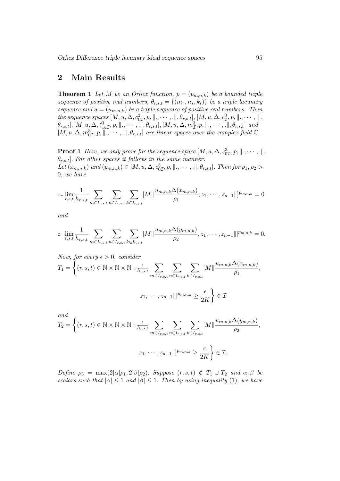## 2 Main Results

**Theorem 1** Let M be an Orlicz function,  $p = (p_{m,n,k})$  be a bounded triple sequence of positive real numbers,  $\theta_{r,s,t} = \{(m_r,n_s,k_t)\}\;$  be a triple lacunary sequence and  $u = (u_{m,n,k})$  be a triple sequence of positive real numbers. Then the sequence spaces  $[M, u, \Delta, c^3_{0I}, p, \|\ldots, \ldots, \ldots\|, \theta_{r,s,t}], [M, u, \Delta, c^3_{I}, p, \|\ldots, \ldots, \ldots\|,$  $\theta_{r,s,t}], [M, u, \Delta, \ell^3_{\infty I}, p, \|\ldots\ldots\ldots\|\ldotp \theta_{r,s,t}], [M, u, \Delta, m_I^3, p, \|\ldots\ldots\ldotp\|, \theta_{r,s,t}]$  and  $[M, u, \Delta, m_{0\mathcal{I}}^3, p, \parallel, \cdots, \parallel, \theta_{r,s,t}]$  are linear spaces over the complex field  $\mathbb{C}$ .

**Proof 1** Here, we only prove for the sequence space  $[M, u, \Delta, c_{0\mathcal{I}}^3, p, \|\ldots, \ldots, \ldots]\|$  $\theta_{r,s,t}$ . For other spaces it follows in the same manner. Let  $(x_{m,n,k})$  and  $(y_{m,n,k}) \in [M, u, \Delta, c^3_{0\mathcal{I}}, p, \|\ldots\ldots\ldots\|\$ ,  $\theta_{r,s,t}]$ . Then for  $\rho_1, \rho_2$ 0, we have

$$
x-\lim_{r,s,t}\frac{1}{h_{r,s,t}}\sum_{m\in I_{r,s,t}}\sum_{n\in I_{r,s,t}}\sum_{k\in I_{r,s,t}}[M]\left|\frac{u_{m,n,k}\Delta(x_{m,n,k})}{\rho_1},z_1,\cdots,z_{n-1}|\right|^{p_{m,n,k}}=0
$$

and

$$
\text{I-}\lim_{r,s,t}\frac{1}{h_{r,s,t}}\sum_{m\in I_{r,s,t}}\sum_{n\in I_{r,s,t}}\sum_{k\in I_{r,s,t}}[M]\left|\frac{u_{m,n,k}\Delta(y_{m,n,k})}{\rho_2},z_1,\cdots,z_{n-1}]\right|^{p_{m,n,k}}=0.
$$

Now, for every 
$$
\epsilon > 0
$$
, consider  
\n
$$
T_1 = \left\{ (r, s, t) \in \mathbb{N} \times \mathbb{N} \times \mathbb{N} : \frac{1}{h_{r,s,t}} \sum_{m \in I_{r,s,t}} \sum_{n \in I_{r,s,t}} \sum_{k \in I_{r,s,t}} [M] \frac{u_{m,n,k} \Delta(x_{m,n,k})}{\rho_1}, \right\}
$$
\n
$$
z_1, \cdots, z_{n-1} ||]^{p_{m,n,k}} \ge \frac{\epsilon}{2K} \right\} \in \mathcal{I}
$$

and  
\n
$$
T_2 = \left\{ (r, s, t) \in \mathbb{N} \times \mathbb{N} \times \mathbb{N} : \frac{1}{h_{r, s, t}} \sum_{m \in I_{r, s, t}} \sum_{n \in I_{r, s, t}} \sum_{k \in I_{r, s, t}} [M] \frac{u_{m, n, k} \Delta(y_{m, n, k})}{\rho_2}, \right\}
$$
\n
$$
z_1, \cdots, z_{n-1} ||]^{p_{m, n, k}} \ge \frac{\epsilon}{2K} \right\} \in \mathcal{I}.
$$

Define  $\rho_3 = \max(2|\alpha|\rho_1, 2|\beta|\rho_2)$ . Suppose  $(r, s, t) \notin T_1 \cup T_2$  and  $\alpha, \beta$  be scalars such that  $|\alpha| \leq 1$  and  $|\beta| \leq 1$ . Then by using inequality (1), we have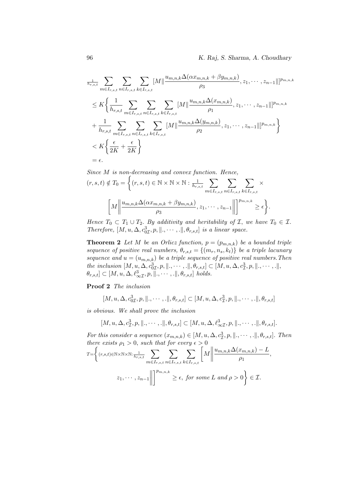$$
\sum_{h_{r,s,t}}^{1} \sum_{m \in I_{r,s,t}} \sum_{n \in I_{r,s,t}} \sum_{k \in I_{r,s,t}} [M] \frac{u_{m,n,k} \Delta(\alpha x_{m,n,k} + \beta y_{m,n,k})}{\rho_3}, z_1, \dots, z_{n-1}]]^{p_{m,n,k}}
$$
\n
$$
\leq K \bigg\{ \frac{1}{h_{r,s,t}} \sum_{m \in I_{r,s,t}} \sum_{n \in I_{r,s,t}} \sum_{k \in I_{r,s,t}} [M] \frac{u_{m,n,k} \Delta(x_{m,n,k})}{\rho_1}, z_1, \dots, z_{n-1}]]^{p_{m,n,k}}
$$
\n
$$
+ \frac{1}{h_{r,s,t}} \sum_{m \in I_{r,s,t}} \sum_{n \in I_{r,s,t}} \sum_{k \in I_{r,s,t}} [M] \frac{u_{m,n,k} \Delta(y_{m,n,k})}{\rho_2}, z_1, \dots, z_{n-1}]]^{p_{m,n,k}}
$$
\n
$$
\leq K \bigg\{ \frac{\epsilon}{2K} + \frac{\epsilon}{2K} \bigg\}
$$
\n
$$
= \epsilon.
$$

Since *M* is non-decreasing and convex function. Hence,  
\n
$$
(r, s, t) \notin T_0 = \left\{ (r, s, t) \in \mathbb{N} \times \mathbb{N} \times \mathbb{N} : \frac{1}{h_{r,s,t}} \sum_{m \in I_{r,s,t}} \sum_{n \in I_{r,s,t}} \sum_{k \in I_{r,s,t}} \times \left[ M \middle| \frac{u_{m,n,k} \Delta(\alpha x_{m,n,k} + \beta y_{m,n,k})}{\rho_3}, z_1, \cdots, z_{n-1} \middle| \right]^{\rho_{m,n,k}} \ge \epsilon \right\}.
$$

Hence  $T_0 \subset T_1 \cup T_2$ . By additivity and heritability of  $\mathcal{I}$ , we have  $T_0 \in \mathcal{I}$ . Therefore,  $[M, u, \Delta, c^3_{0I}, p, \|\ldots\ldots\ldots\|\ldotp \theta_{r,s,t}]$  is a linear space.

**Theorem 2** Let M be an Orlicz function,  $p = (p_{m,n,k})$  be a bounded triple sequence of positive real numbers,  $\theta_{r,s,t} = \{(m_r, n_s, k_t)\}\;$  be a triple lacunary sequence and  $u = (u_{m,n,k})$  be a triple sequence of positive real numbers. Then the inclusion  $[M, u, \Delta, c^3_{0I}, p, \|\, \ldots, \ldots\|, \theta_{r,s,t}] \subset [M, u, \Delta, c^3_{I}, p, \|\, \ldots, \ldots\|,$  $\theta_{r,s,t} \subset [M, u, \Delta, \ell^3_{\infty \mathcal{I}}, p, \|\cdot, \cdots, \cdot\|, \theta_{r,s,t}]$  holds.

Proof 2 The inclusion

$$
[M, u, \Delta, c_{0\mathcal{I}}^3, p, \|\, \ldots, \cdot\|, \theta_{r,s,t}] \subset [M, u, \Delta, c_{\mathcal{I}}^3, p, \|\, \ldots, \cdot\|, \theta_{r,s,t}]
$$

is obvious. We shall prove the inclusion

$$
[M, u, \Delta, c_{\mathcal{I}}^3, p, \|\, \ldots, \ldots, \|\, \theta_{r,s,t}] \subset [M, u, \Delta, \ell_{\infty \mathcal{I}}^3, p, \|\, \ldots, \ldots, \|\, \theta_{r,s,t}].
$$

For this consider a sequence  $(x_{m,n,k}) \in [M, u, \Delta, c_{\mathcal{I}}^3, p, \|\cdot, \cdots, \cdot\|, \theta_{r,s,t}].$  Then there exists  $\rho_1 > 0$ , such that for every  $\epsilon > 0$ 

$$
T = \left\{ (r, s, t) \in \mathbb{N} \times \mathbb{N} \times \mathbb{N}: \frac{1}{h_{r, s, t}} \sum_{m \in I_{r, s, t}} \sum_{n \in I_{r, s, t}} \sum_{k \in I_{r, s, t}} \left[ M \middle| \frac{u_{m, n, k} \Delta(x_{m, n, k}) - L}{\rho_1}, \right. \right\}
$$
  

$$
z_1, \cdots, z_{n-1} \middle| \left. \right] \stackrel{p_{m, n, k}}{\longrightarrow} \ge \epsilon, \text{ for some } L \text{ and } \rho > 0 \right\} \in \mathcal{I}.
$$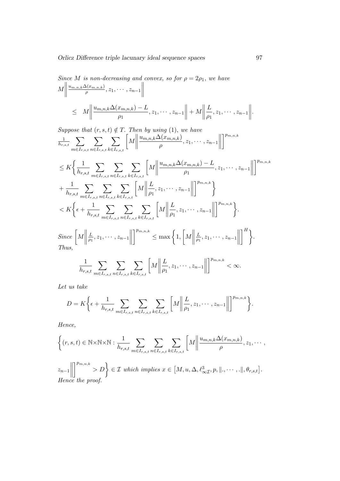Since *M* is non-decreasing and convex, so for 
$$
\rho = 2\rho_1
$$
, we have\n
$$
M \left\| \frac{u_{m,n,k} \Delta(x_{m,n,k})}{\rho}, z_1, \cdots, z_{n-1} \right\|
$$
\n
$$
\leq M \left\| \frac{u_{m,n,k} \Delta(x_{m,n,k}) - L}{\rho_1}, z_1, \cdots, z_{n-1} \right\| + M \left\| \frac{L}{\rho_1}, z_1, \cdots, z_{n-1} \right\|.
$$

Suppose that  $(r, s, t) \notin T$ . Then by using (1), we have  $\frac{1}{h_{r,s,t}}$   $\sum$  $m \in I_{r,s,t}$  $\sum$  $n \in I_{r,s,t}$  $\sum$  $k \in I_{r,s,t}$  $\left[\!\left| M \right|\!\right]$  $u_{m,n,k}\Delta(x_{m,n,k})$  $\frac{\Delta(x_{m,n,k})}{\rho}, z_1, \cdots, z_{n-1}\Big\|$  $\lceil \frac{p_{m,n,k}}{m} \rceil$  $\leq K \bigg\{ \frac{1}{1}$  $h_{r,s,t}$  $\sum$  $m \in I_{r,s,t}$  $\sum$  $n \in I_{r,s,t}$  $\sum$  $k \in I_{r,s,t}$  $\left[\!\left| M\right|\!\right]$  $u_{m,n,k}\Delta(x_{m,n,k}) - L$  $\frac{x_{m,n,k})-L}{\rho_1}, z_1, \cdots, z_{n-1}$  $\lceil \frac{p_{m,n,k}}{m} \rceil$  $+\frac{1}{1}$  $h_{r,s,t}$  $\sum$  $m \in I_{r,s,t}$  $\sum$  $n \in I_{r,s,t}$  $\sum$  $k \in I_{r,s,t}$  $\left[\!\left| M\right|\!\right]$ L  $\frac{L}{\rho_1}, z_1, \cdots, z_{n-1}\n\Big\|$  $\left\lfloor \frac{p_{m,n,k}}{\cdot} \right\rfloor$  $\langle K \xi \epsilon + \frac{1}{\epsilon}$  $h_{r,s,t}$  $\sum$  $m \in I_{r,s,t}$  $\sum$  $n \in I_{r,s,t}$  $\sum$  $k \in I_{r,s,t}$  $\left[\!\left| M\right|\!\right]$ L  $\frac{L}{\rho_1}, z_1, \cdots, z_{n-1}\n\Big\|$  $\bigg\}^{p_{m,n,k}}\bigg\}$ .  $Since \left\lbrack M \right\rbrack$ L  $\frac{L}{\rho_1}, z_1, \cdots, z_{n-1}$  $\left\{ \left. \sum_{k=1}^{n} \mathbb{Z}_{m,n,k} \right\} \leq \max \left\{ 1,\left\lceil \mathcal{M} \right\rceil \right\}$ L  $\frac{L}{\rho_1}, z_1, \cdots, z_{n-1}\n\Big\|$  $\bigcap^H$ Thus,

$$
\frac{1}{h_{r,s,t}} \sum_{m \in I_{r,s,t}} \sum_{n \in I_{r,s,t}} \sum_{k \in I_{r,s,t}} \left[ M \left\| \frac{L}{\rho_1}, z_1, \cdots, z_{n-1} \right\| \right]^{p_{m,n,k}} < \infty.
$$

Let us take

$$
D = K \bigg\{ \epsilon + \frac{1}{h_{r,s,t}} \sum_{m \in I_{r,s,t}} \sum_{n \in I_{r,s,t}} \sum_{k \in I_{r,s,t}} \bigg[ M \bigg| \bigg| \frac{L}{\rho_1}, z_1, \cdots, z_{n-1} \bigg| \bigg| \bigg]^{p_{m,n,k}} \bigg\}.
$$

Hence,

$$
\left\{ (r, s, t) \in \mathbb{N} \times \mathbb{N} \times \mathbb{N} : \frac{1}{h_{r, s, t}} \sum_{m \in I_{r, s, t}} \sum_{n \in I_{r, s, t}} \sum_{k \in I_{r, s, t}} \left[ M \middle| \frac{u_{m, n, k} \Delta(x_{m, n, k})}{\rho}, z_1, \dots, z_{n-1} \middle| \right] \right\}^{p_{m, n, k}} > D \right\} \in \mathcal{I} \text{ which implies } x \in [M, u, \Delta, \ell_{\infty \mathcal{I}}^3, p, \|\ldots, \ldots, \|\, \theta_{r, s, t}].
$$
  
\nHence the proof.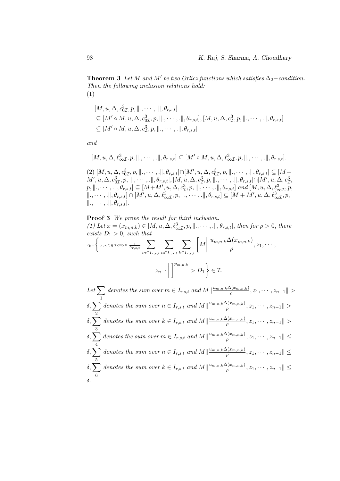**Theorem 3** Let M and M' be two Orlicz functions which satisfies  $\Delta_2$ -condition. Then the following inclusion relations hold: (1)

$$
[M, u, \Delta, c_{0\mathcal{I}}^3, p, \|\, \ldots, \ldots, \|\, \theta_{r,s,t}]
$$
  
\n
$$
\subseteq [M' \circ M, u, \Delta, c_{0\mathcal{I}}^3, p, \|\, \ldots, \ldots, \|\, \theta_{r,s,t}], [M, u, \Delta, c_{\mathcal{I}}^3, p, \|\, \ldots, \ldots, \|\, \theta_{r,s,t}]
$$
  
\n
$$
\subseteq [M' \circ M, u, \Delta, c_{\mathcal{I}}^3, p, \|\, \ldots, \ldots, \|\, \theta_{r,s,t}]
$$

and

$$
[M, u, \Delta, \ell^3_{\infty \mathcal{I}}, p, \|\, \ldots, \cdot\|, \theta_{r,s,t}] \subseteq [M' \circ M, u, \Delta, \ell^3_{\infty \mathcal{I}}, p, \|\, \ldots, \cdot\|, \theta_{r,s,t}].
$$

 $(2)$   $[M, u, \Delta, c_{0\mathcal{I}}^3, p, \|\ldots, \ldots, \ldots\|, \theta_{r,s,t}] \cap [M', u, \Delta, c_{0\mathcal{I}}^3, p, \|\ldots, \ldots, \ldots\|, \theta_{r,s,t}] \subseteq [M + \frac{1}{2}]$  $M', u, \Delta, c_{0\mathcal{I}}^3, p, \Vert. , \cdots, .\Vert, \theta_{r,s,t}], [M, u, \Delta, c_{\mathcal{I}}^3, p, \Vert. , \cdots, .\Vert, \theta_{r,s,t}] \cap [M', u, \Delta, c_{\mathcal{I}}^3,$  $\begin{aligned} &\mathcal{P}_{M}\left([0,T],\mathcal{P}_{M},\mathcal{P}_{M},\mathcal{P}_{M},\mathcal{P}_{M},\mathcal{P}_{M},\mathcal{P}_{M},\mathcal{P}_{M},\mathcal{P}_{M},\mathcal{P}_{M},\mathcal{P}_{M},\mathcal{P}_{M},\mathcal{P}_{M},\mathcal{P}_{M},\mathcal{P}_{M},\mathcal{P}_{M},\mathcal{P}_{M},\mathcal{P}_{M},\mathcal{P}_{M},\mathcal{P}_{M},\mathcal{P}_{M},\mathcal{P}_{M},\mathcal{P}_{M},\mathcal{P}_{M},\mathcal{P}_{M},\mathcal{P}_{M},\$  $\langle \, \cdot, \cdot \cdot, \cdot, \cdot \rangle, \theta_{r,s,t} \rangle \cap [M', u, \Delta, \ell^3_{\infty \mathcal{I}}, p, \vert \vert \, \cdot, \cdot \cdot, \cdot, \vert \vert, \theta_{r,s,t} \rangle \subseteq [M + M', u, \Delta, \ell^3_{\infty \mathcal{I}}, p,$  $\|.\,, \cdots, .\|, \theta_{r,s,t}].$ 

**Proof 3** We prove the result for third inclusion.  
\n(1) Let 
$$
x = (x_{m,n,k}) \in [M, u, \Delta, \ell^3_{\infty \mathcal{I}}, p, \|\ldots\ldots\ldots\|, \theta_{r,s,t}],
$$
 then for  $\rho > 0$ , there exists  $D_1 > 0$ , such that  
\n
$$
\tau_0 = \begin{cases} \n\langle r, s, t \rangle \in \mathbb{N} \times \mathbb{N} \times \mathbb{N} \colon \frac{1}{h_{r,s,t}} \sum_{m \in I_{r,s,t}} \sum_{n \in I_{r,s,t}} \sum_{k \in I_{r,s,t}} \left[M \middle| \frac{u_{m,n,k} \Delta(x_{m,n,k})}{\rho}, z_1, \ldots, z_{n-1} \middle| \right] \right]^{p_{m,n,k}} > D_1 \end{cases} \in \mathcal{I}.
$$

Let  $\sum$ 1 denotes the sum over  $m \in I_{r,s,t}$  and  $M|| \frac{u_{m,n,k}\Delta(x_{m,n,k})}{\rho}$  $\frac{\Delta(x_{m,n,k})}{\rho}, z_1, \cdots, z_{n-1}\|>$  $δ, ∑$ 2 denotes the sum over  $n \in I_{r,s,t}$  and  $M|| \frac{u_{m,n,k}\Delta(x_{m,n,k})}{\rho}$  $\frac{\Delta(x_{m,n,k})}{\rho}, z_1, \cdots, z_{n-1}\|>$  $δ, ∑$ 3 denotes the sum over  $k \in I_{r,s,t}$  and  $M|| \frac{u_{m,n,k}\Delta(x_{m,n,k})}{\rho}$  $\frac{\Delta (x_{m,n,k})}{\rho },z_{1},\cdots ,z_{n-1}\Vert >% \frac{\Delta (x_{m,n,k})}{\rho },z_{1},\cdots ,z_{n-1}\Vert >0$  $\delta$ ,  $\sum$  denotes the sum over  $m \in I_{r,s,t}$  and  $M|| \frac{u_{m,n,k}\Delta(x_{m,n,k})}{\rho}$ 4  $\frac{\Delta (x_{m,n,k})}{\rho },z_{1},\cdots ,z_{n-1}\Vert \leq$  $δ, ∑$ 5 denotes the sum over  $n \in I_{r,s,t}$  and  $M|| \frac{u_{m,n,k}\Delta(x_{m,n,k})}{a}$  $\frac{\Delta (x_{m,n,k})}{\rho },z_{1},\cdots ,z_{n-1}\Vert \leq$  $δ, ∑$ 6 denotes the sum over  $k \in I_{r,s,t}$  and  $M|| \frac{u_{m,n,k}\Delta(x_{m,n,k})}{a}$  $\frac{\Delta(x_{m,n,k})}{\rho}, z_1, \cdots, z_{n-1}\| \leq$ δ.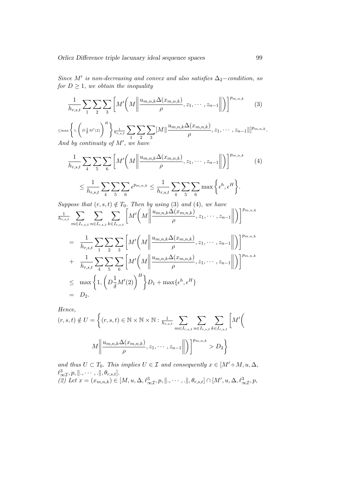Since M' is non-decreasing and convex and also satisfies  $\Delta_2$ -condition, so for  $D \geq 1$ , we obtain the inequality

$$
\frac{1}{h_{r,s,t}}\sum_{1}\sum_{2}\sum_{3}\left[M'\left(M\left\|\frac{u_{m,n,k}\Delta(x_{m,n,k})}{\rho},z_{1},\cdots,z_{n-1}\right\|\right)\right]^{p_{m,n,k}}\qquad(3)
$$

 $\leq$ max $\left\{1,\left(D\frac{1}{\delta}M'(2)\right)^H\right\}$  $\frac{1}{h_{r,s,t}}\sum$ 1  $\sum$ 2  $\sum$ 3  $\|M\|\frac{u_{m,n,k}\Delta(x_{m,n,k})}{\Delta(x_{m,n,k})}$  $\frac{\rho^{(x_{m,n,k})}}{\rho}, z_1, \cdots, z_{n-1} \|]^{p_{m,n,k}}.$ And by continuity of  $M'$ , we have

$$
\frac{1}{h_{r,s,t}} \sum_{4} \sum_{5} \sum_{6} \left[ M' \left( M \middle\| \frac{u_{m,n,k} \Delta(x_{m,n,k})}{\rho}, z_1, \dots, z_{n-1} \middle\| \right) \right]^{p_{m,n,k}} \tag{4}
$$
\n
$$
\leq \frac{1}{h_{r,s,t}} \sum_{4} \sum_{5} \sum_{6} \epsilon^{p_{m,n,k}} \leq \frac{1}{h_{r,s,t}} \sum_{4} \sum_{5} \sum_{6} \max \left\{ \epsilon^h, \epsilon^H \right\}.
$$

Suppose that  $(r, s, t) \notin T_0$ . Then by using (3) and (4), we have  $\frac{1}{h_{r,s,t}}$   $\sum$  $m \in I_{r,s,t}$  $\sum$  $n \in I_{r,s,t}$  $\sum$  $k \in I_{r,s,t}$  $\left[ M^{\prime }\left( M\right) \right]$  $u_{m,n,k}\Delta(x_{m,n,k})$  $\frac{\Delta(x_{m,n,k})}{\rho}, z_1, \cdots, z_{n-1}\Big\|$  $\bigcap_{n,k} p_{m,n,k}$ 

$$
= \frac{1}{h_{r,s,t}} \sum_{1} \sum_{2} \sum_{3} \left[ M' \left( M \middle\| \frac{u_{m,n,k} \Delta(x_{m,n,k})}{\rho}, z_1, \dots, z_{n-1} \middle\| \right) \right]^{p_{m,n,k}} + \frac{1}{h_{r,s,t}} \sum_{4} \sum_{5} \sum_{6} \left[ M' \left( M \middle\| \frac{u_{m,n,k} \Delta(x_{m,n,k})}{\rho}, z_1, \dots, z_{n-1} \middle\| \right) \right]^{p_{m,n,k}} \le \max \left\{ 1, \left( D \frac{1}{\delta} M'(2) \right)^H \right\} D_1 + \max \{ \epsilon^h, \epsilon^H \} = D_2.
$$

Hence,

$$
(r, s, t) \notin U = \left\{ (r, s, t) \in \mathbb{N} \times \mathbb{N} \times \mathbb{N} : \frac{1}{h_{r, s, t}} \sum_{m \in I_{r, s, t}} \sum_{n \in I_{r, s, t}} \sum_{k \in I_{r, s, t}} \left[ M' \right] \right\}
$$

$$
M \left\| \frac{u_{m, n, k} \Delta(x_{m, n, k})}{\rho}, z_1, \cdots, z_{n-1} \right\| \right) \right\}^{p_{m, n, k}} > D_2 \right\}
$$

and thus  $U \subset T_0$ . This implies  $U \in \mathcal{I}$  and consequently  $x \in [M' \circ M, u, \Delta, \Delta]$  $\ell_{\infty\mathcal{I}}^3, p, \|\ldots\ldots\ldots\|\, \theta_{r,s,t}].$  $\overline{(2)}$  Let  $x = (x_{m,n,k}) \in [M, u, \Delta, \ell^3_{\infty I}, p, \|\ldots, \ldots\|, \theta_{r,s,t}] \cap [M', u, \Delta, \ell^3_{\infty I}, p,$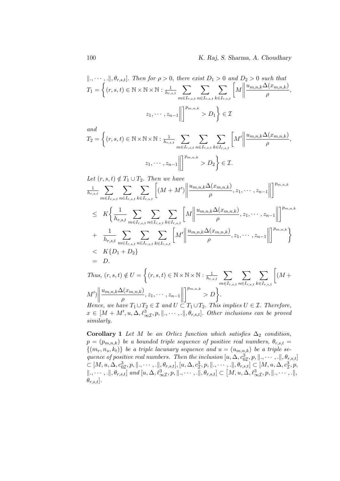$$
\|\ldots\cdots\ldots\|\theta_{r,s,t}\|.\text{ Then for }\rho > 0,\text{ there exist } D_1 > 0 \text{ and } D_2 > 0 \text{ such that}
$$
\n
$$
T_1 = \left\{ (r, s, t) \in \mathbb{N} \times \mathbb{N} \times \mathbb{N} : \frac{1}{h_{r,s,t}} \sum_{m \in I_{r,s,t}} \sum_{n \in I_{r,s,t}} \sum_{k \in I_{r,s,t}} \left[ M \middle| \frac{u_{m,n,k} \Delta(x_{m,n,k})}{\rho}, \frac{u_{m,n,k} \Delta(x_{m,n,k})}{\rho} \right] \right\}
$$
\n
$$
z_1, \cdots, z_{n-1} \left\| \left[ \sum_{m,n,k} \sum_{n \in I_{r,s,t}} \sum_{n \in I_{r,s,t}} \sum_{k \in I_{r,s,t}} \left[ M \middle| \frac{u_{m,n,k} \Delta(x_{m,n,k})}{\rho} \right] \right] \right\}.
$$

$$
T_2 = \left\{ (r, s, t) \in \mathbb{N} \times \mathbb{N} \times \mathbb{N} : \frac{1}{h_{r, s, t}} \sum_{m \in I_{r, s, t}} \sum_{n \in I_{r, s, t}} \sum_{k \in I_{r, s, t}} \left[ M' \middle\| \frac{u_{m, n, k} \Delta(x_{m, n, k})}{\rho}, \right. \right\}
$$
  

$$
z_1, \dots, z_{n-1} \middle\| \right\|^{p_{m, n, k}} > D_2 \left\} \in \mathcal{I}.
$$

Let 
$$
(r, s, t) \notin T_1 \cup T_2
$$
. Then we have  
\n
$$
\frac{1}{h_{r,s,t}} \sum_{m \in I_{r,s,t}} \sum_{n \in I_{r,s,t}} \sum_{k \in I_{r,s,t}} \left[ (M + M') \middle\| \frac{u_{m,n,k} \Delta(x_{m,n,k})}{\rho}, z_1, \dots, z_{n-1} \middle\| \right]^{p_{m,n,k}}
$$
\n
$$
\leq K \bigg\{ \frac{1}{h_{r,s,t}} \sum_{m \in I_{r,s,t}} \sum_{n \in I_{r,s,t}} \sum_{k \in I_{r,s,t}} \left[ M \middle\| \frac{u_{m,n,k} \Delta(x_{m,n,k})}{\rho}, z_1, \dots, z_{n-1} \middle\| \right]^{p_{m,n,k}}
$$
\n
$$
+ \frac{1}{h_{r,s,t}} \sum_{m \in I_{r,s,t}} \sum_{n \in I_{r,s,t}} \sum_{k \in I_{r,s,t}} \left[ M' \middle\| \frac{u_{m,n,k} \Delta(x_{m,n,k})}{\rho}, z_1, \dots, z_{n-1} \middle\| \right]^{p_{m,n,k}}
$$
\n
$$
< K \{D_1 + D_2\}
$$
\n
$$
= D.
$$

Thus, 
$$
(r, s, t) \notin U = \left\{ (r, s, t) \in \mathbb{N} \times \mathbb{N} \times \mathbb{N} : \frac{1}{h_{r,s,t}} \sum_{m \in I_{r,s,t}} \sum_{n \in I_{r,s,t}} \sum_{k \in I_{r,s,t}} \left[ (M + M') \middle\| \frac{u_{m,n,k} \Delta(x_{m,n,k})}{\rho}, z_1, \dots, z_{n-1} \middle\| \right]^{p_{m,n,k}} > D \right\}.
$$
  
\nHence, we have  $T_1 \cup T_2 \in \mathcal{I}$  and  $U \subset T_1 \cup T_2$ . This implies  $U \in \mathcal{I}$ . Therefore,

 $x \in [M + M', u, \Delta, \ell^3_{\infty I}, p, \|\ldots\ldots\ldots\|\, \theta_{r,s,t}].$  Other inclusions can be proved similarly.

Corollary 1 Let M be an Orlicz function which satisfies  $\Delta_2$  condition,  $p = (p_{m,n,k})$  be a bounded triple sequence of positive real numbers,  $\theta_{r,s,t}$  $\{(m_r, n_s, k_t)\}\;$  be a triple lacunary sequence and  $u = (u_{m,n,k})$  be a triple sequence of positive real numbers. Then the inclusion  $[u, \Delta, c^3_{0I}, p, \|\cdot, \cdots, \cdot\|, \theta_{r,s,t}]$  $\subset [M, u, \Delta, c^3_{0I}, p, \|\cdot, \cdots, \cdot\|_{2}, \theta_{r,s,t}], [u, \Delta, c^3_{\mathcal{I}}, p, \|\cdot, \cdots, \cdot\|_{2}, \theta_{r,s,t}] \subsetneq [M, u, \Delta, c^3_{\mathcal{I}}, p,$  $\langle \parallel, \cdots, \parallel, \theta_{r,s,t} \rangle$  and  $[u, \Delta, \ell^3_{\infty I}, p, \parallel, \cdots, \overline{.}\parallel, \theta_{r,s,t}] \subset [M, u, \Delta, \ell^3_{\infty I}, p, \parallel, \cdots, \overline{.}\parallel,$  $\theta_{r,s,t}].$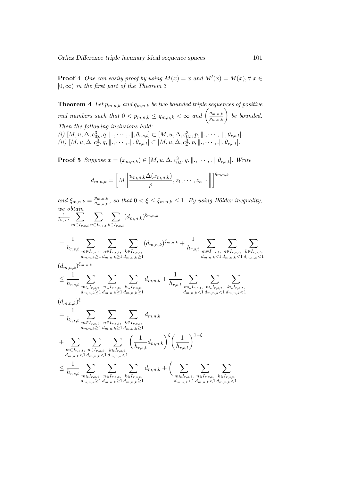**Proof 4** One can easily proof by using  $M(x) = x$  and  $M'(x) = M(x), \forall x \in \mathbb{R}$  $[0, \infty)$  in the first part of the Theorem 3

**Theorem 4** Let  $p_{m,n,k}$  and  $q_{m,n,k}$  be two bounded triple sequences of positive real numbers such that  $0 < p_{m,n,k} \leq q_{m,n,k} < \infty$  and  $\left(\frac{q_{m,n,k}}{p_{m,n,k}}\right)$  be bounded. Then the following inclusions hold: (i)  $[M, u, \Delta, c_{0\mathcal{I}}^3, q, \dots, \dots], \theta_{r,s,t}] \subset [M, u, \Delta, c_{0\mathcal{I}}^3, p, \dots, \dots], \theta_{r,s,t}].$ (ii)  $[M, u, \Delta, c_{\mathcal{I}}^3, q, \|\ldots, \ldots, \ldots\|\, \theta_{r,s,t}] \subset [M, u, \Delta, c_{\mathcal{I}}^3, p, \|\ldots, \ldots, \ldots\|\, \theta_{r,s,t}].$ 

**Proof 5** Suppose  $x = (x_{m,n,k}) \in [M, u, \Delta, c_{0\mathcal{I}}^3, q, \dots, \dots], \theta_{r,s,t}].$  Write

$$
d_{m,n,k} = \left[M \left\| \frac{u_{m,n,k} \Delta(x_{m,n,k})}{\rho}, z_1, \cdots, z_{n-1} \right\| \right]^{q_{m,n,k}}
$$

and  $\xi_{m,n,k} = \frac{p_{m,n,k}}{q_{m,n,k}}$  $\frac{p_{m,n,k}}{q_{m,n,k}}$ , so that  $0 < \xi \leq \xi_{m,n,k} \leq 1$ . By using Hölder inequality, we obtain  $\frac{1}{h_{r,s,t}}$   $\sum$  $m \in I_{r,s,t}$  $\sum$  $n \in I_{r,s,t}$  $\sum$  $k \in I_{r,s,t}$  $(d_{m,n,k})^{\xi_{m,n,k}}$  $=\frac{1}{1}$  $h_{r,s,t}$  $\sum$  $m \in I_{r,s,t},$  $d_{m,n,k} \geq 1$  $\sum$  $n \in I_{r,s,t},$  $d_{m,n,k} \geq 1$  $\sum$  $k \in I_{r,s,t}$  $d_{m,n,k} \geq 1$  $(d_{m,n,k})^{\xi_{m,n,k}} + \frac{1}{b}$  $h_{r,s,t}$  $\sum$  $m \in I_{r,s,t}$  $d_{m,n,k}$  < 1  $\sum$  $n \in I_{r,s,t},$  $d_{m,n,k}$  < 1  $\sum$  $k \in I_{r,s,t}$  $d_{m,n,k}$  < 1  $(d_{m,n,k})^{\xi_{m,n,k}}$  $\leq \frac{1}{1}$  $h_{r,s,t}$  $\sum$  $m \in I_{r,s,t},$  $d_{m,n,k} \geq 1$  $\sum$  $n \in I_{r,s,t},$  $d_{m,n,k} \geq 1$  $\sum$  $k \in I_{r,s,t}$  $d_{m,n,k} \geq 1$  $d_{m,n,k} + \frac{1}{l}$  $h_{r,s,t}$  $\sum$  $m \in I_{r,s,t}$  $d_{m,n,k}$  < 1  $\sum$  $n \in I_{r,s,t}$  $d_{m,n,k}$  < 1  $\sum$  $k \in I_{r,s,t}$  $d_{m,n,k}$  < 1  $(d_{m,n,k})^{\xi}$  $=\frac{1}{1}$  $h_{r,s,t}$  $\sum$  $m \in I_{r,s,t},$  $d_{m,n,k} \geq 1$  $\sum$  $n \in I_{r,s,t},$  $d_{m,n,k} \geq 1$  $\sum$  $k \in I_{r,s,t}$  $d_{m,n,k} \geq 1$  $d_{m,n,k}$  $+$   $\Sigma$  $m \in I_{r,s,t},$  $d_{m,n,k}$ <1  $\sum$  $n \in I_{r,s,t},$  $d_{m,n,k}$  < 1  $\sum$  $k \in I_{r,s,t}$ ,  $d_{m,n,k}$  < 1  $\begin{pmatrix} 1 \end{pmatrix}$  $\frac{1}{h_{r,s,t}}d_{m,n,k}\bigg)^{\xi}\bigg(\frac{1}{h_{r,s,t}}\bigg)^{1-\xi}$  $\leq \frac{1}{1}$  $h_{r,s,t}$  $\sum$  $m \in I_{r,s,t}$  $d_{m,n,k} \geq 1$  $\sum$  $n \in I_{r,s,t}$  $d_{m,n,k} \geq 1$  $\sum$  $k \in I_{r,s,t}$  $d_{m,n,k} \geq 1$  $d_{m,n,k}+\left(\quad \sum\right.$  $m \in I_{r,s,t}$  $d_{m,n,k}$  < 1  $\sum$  $n \in I_{r,s,t}$  $d_{m,n,k}$  < 1  $\sum$  $k \in I_{r,s,t}$  $d_{m,n,k}$  < 1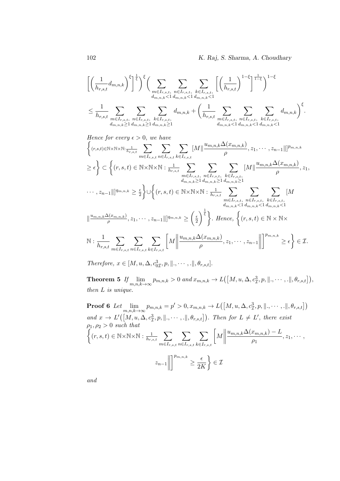$$
\left[ \left( \frac{1}{h_{r,s,t}} d_{m,n,k} \right)^{\xi} \right]^{\frac{1}{\xi}} \Big)^{\xi} \Big( \sum_{m \in I_{r,s,t}} \sum_{n \in I_{r,s,t}} \sum_{k \in I_{r,s,t}} \left[ \left( \frac{1}{h_{r,s,t}} \right)^{1-\xi} \right]^{\frac{1}{1-\xi}} \Big)^{1-\xi}
$$
  

$$
\leq \frac{1}{h_{r,s,t}} \sum_{m \in I_{r,s,t}} \sum_{n \in I_{r,s,t}} \sum_{k \in I_{r,s,t}} d_{m,n,k} + \left( \frac{1}{h_{r,s,t}} \sum_{m \in I_{r,s,t}} \sum_{n \in I_{r,s,t}} \sum_{k \in I_{r,s,t}} d_{m,n,k} \right)^{\xi}.
$$

Hence for every 
$$
\epsilon > 0
$$
, we have  
\n
$$
\left\{ (r,s,t) \in \mathbb{N} \times \mathbb{N} \times \mathbb{N} : \frac{1}{h_{r,s,t}} \sum_{m \in I_{r,s,t}} \sum_{n \in I_{r,s,t}} \sum_{k \in I_{r,s,t}} [M] \frac{u_{m,n,k} \Delta(x_{m,n,k})}{\rho}, z_1, \dots, z_{n-1} ||]^{p_{m,n,k}}
$$
\n
$$
\geq \epsilon \right\} \subset \left\{ (r,s,t) \in \mathbb{N} \times \mathbb{N} \times \mathbb{N} : \frac{1}{h_{r,s,t}} \sum_{m \in I_{r,s,t}} \sum_{n \in I_{r,s,t}} \sum_{k \in I_{r,s,t}} [M] \frac{u_{m,n,k} \Delta(x_{m,n,k})}{\rho}, z_1, \dots, z_{n-1} ||]^{q_{m,n,k}} \geq \frac{\epsilon}{2} \right\} \cup \left\{ (r,s,t) \in \mathbb{N} \times \mathbb{N} \times \mathbb{N} : \frac{1}{h_{r,s,t}} \sum_{m \in I_{r,s,t}} \sum_{n \in I_{r,s,t}} \sum_{n \in I_{r,s,t}} [M] \frac{u_{m,n,k} \Delta(x_{m,n,k})}{u_{m,n,k} \Delta(x_{m,n,k})}, z_1, \dots, z_{n-1} ||]^{q_{m,n,k}} \geq \left(\frac{\epsilon}{2}\right)^{\frac{1}{\epsilon}} \right\}. \text{ Hence, } \left\{ (r,s,t) \in \mathbb{N} \times \mathbb{N} \times \mathbb{N} : \frac{1}{h_{r,s,t}} \sum_{m \in I_{r,s,t}} \sum_{n \in I_{r,s,t}} [M] \frac{u_{m,n,k} \Delta(x_{m,n,k})}{\rho}, z_1, \dots, z_{n-1} ||]^{p_{m,n,k}} \geq \epsilon \right\} \in \mathcal{I}.
$$

Therefore,  $x \in [M, u, \Delta, c^3_{0L}, p, \|\cdot, \cdots, \cdot\|, \theta_{r,s,t}].$ 

**Theorem 5** If  $\lim_{m,n,k\to\infty} p_{m,n,k} > 0$  and  $x_{m,n,k} \to L([M, u, \Delta, c_{\mathcal{I}}^3, p, \|\cdot, \cdots, \cdot\|, \theta_{r,s,t}]),$ then L is unique.

Proof 6 Let 
$$
\lim_{m,n,k\to\infty} p_{m,n,k} = p' > 0, x_{m,n,k} \to L([M, u, \Delta, c_L^3, p, \|, \cdots, \ldots \|, \theta_{r,s,t}])
$$
  
and  $x \to L'([M, u, \Delta, c_L^3, p, \|, \cdots, \ldots \|, \theta_{r,s,t}]).$  Then for  $L \neq L'$ , there exist  
 $\rho_1, \rho_2 > 0$  such that  

$$
\left\{ (r, s, t) \in \mathbb{N} \times \mathbb{N} \times \mathbb{N} : \frac{1}{h_{r,s,t}} \sum_{m \in I_{r,s,t}} \sum_{n \in I_{r,s,t}} \sum_{k \in I_{r,s,t}} \left[ M \middle| \frac{u_{m,n,k} \Delta(x_{m,n,k}) - L}{\rho_1}, z_1, \cdots, z_{n-1} \middle| \right] \right\}^{p_{m,n,k}} \ge \frac{\epsilon}{2K} \right\} \in \mathcal{I}
$$

and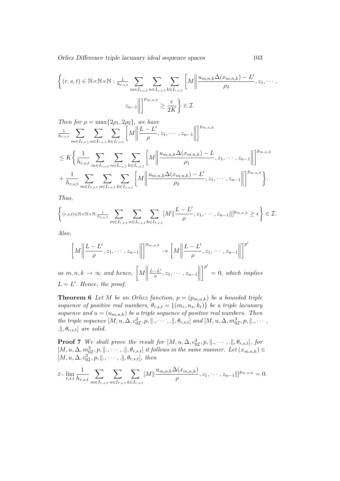Orlicz Difference triple lacunary ideal sequence spaces 103

$$
\left\{ (r, s, t) \in \mathbb{N} \times \mathbb{N} \times \mathbb{N} : \frac{1}{h_{r, s, t}} \sum_{m \in I_{r, s, t}} \sum_{n \in I_{r, s, t}} \sum_{k \in I_{r, s, t}} \left[ M \middle| \frac{u_{m, n, k} \Delta(x_{m, n, k}) - L'}{\rho_2}, z_1, \dots, z_{n-1} \middle| \right] \right\}
$$

Then for  $\rho = \max\{2\rho_1, 2\rho_2\}$ , we have  $\frac{1}{h_{r,s,t}}$   $\sum$  $m \in I_{r,s,t}$  $\sum$  $n \in I_{r,s,t}$  $\sum$  $k \in I_{r,s,t}$  $\left[\!\left| M \right|\!\right]$  $L - L'$  $\frac{-L'}{\rho}, z_1, \cdots, z_{n-1}\n\Big\Vert$  $\lceil \frac{p_{m,n,k}}{m} \rceil$  $\leq K \bigg\{ \frac{1}{1}$  $h_{r,s,t}$  $\sum$  $m \in I_{r,s,t}$  $\sum$  $n \in I_{r,s,t}$  $\sum$  $k \in I_{r,s,t}$  $\left[\!\left| M\right|\!\right]$  $u_{m,n,k}\Delta(x_{m,n,k}) - L$  $\frac{x_{m,n,k}) - L}{\rho_1}, z_1, \cdots, z_{n-1}$  $\lceil \frac{p_{m,n,k}}{m} \rceil$  $+\frac{1}{1}$  $h_{r,s,t}$  $\sum$  $m \in I_{r,s,t}$  $\sum$  $n \in I_{r,s,t}$  $\sum$  $k \in I_{r,s,t}$  $\left[\!\left| M\right|\!\right]$  $u_{m,n,k}\Delta(x_{m,n,k}) - L'$  $\frac{x_{m,n,k}) - L'}{\rho_2}, z_1, \cdots, z_{n-1}\Big\|$  $\bigg\}^{p_{m,n,k}}\bigg\}$ .

Thus,

$$
\left\{(r,s,t)\in\mathbb{N}\times\mathbb{N}\times\mathbb{N}:\frac{1}{h_{r,s,t}}\sum_{m\in I_{r,s,t}}\sum_{n\in I_{r,s,t}}\sum_{k\in I_{r,s,t}}[M]\left|\frac{L-L'}{\rho},z_1,\cdots,z_{n-1}]\right|^{p_{m,n,k}}\geq\epsilon\right\}\in\mathcal{I}.
$$

Also,

$$
\left[M\left\|\frac{L-L'}{\rho}, z_1, \cdots, z_{n-1}\right\|\right]^{p_{m,n,k}} \to \left[M\left\|\frac{L-L'}{\rho}, z_1, \cdots, z_{n-1}\right\|\right]^{p'}
$$

as  $m, n, k \rightarrow \infty$  and hence,  $\left\lceil M \right\rceil$  $L-L'$  $\frac{-L'}{\rho}, z_1, \cdots, z_{n-1}\right\|$  $\mathcal{P}'$  $= 0$ , which implies  $L = L'$ . Hence, the proof.

**Theorem 6** Let M be an Orlicz function,  $p = (p_{m,n,k})$  be a bounded triple sequence of positive real numbers,  $\theta_{r,s,t} = \{(m_r,n_s,k_t)\}\;$  be a triple lacunary sequence and  $u = (u_{m,n,k})$  be a triple sequence of positive real numbers. Then the triple sequence  $[M, u, \Delta, c^3_{0I}, p, \|\cdot, \cdots, \cdot\|, \theta_{r,s,t}]$  and  $[M, u, \Delta, m^3_{0I}, p, \|\cdot, \cdots, \cdot\|]$  $\theta_{r,s,t}$  are solid.

**Proof 7** We shall prove the result for  $[M, u, \Delta, c^3_{0I}, p, \|\cdot, \cdots, \cdot\|, \theta_{r,s,t}],$  for  $[M, u, \Delta, m_{0\mathcal{I}}^3, p, \dots, \dots], \theta_{r,s,t}]$  it follows in the same manner. Let  $(x_{m,n,k}) \in$  $[M, u, \Delta, c^3_{0I}, p, \|\ldots, \ldots, \|, \theta_{r,s,t}],$  then

$$
\mathcal{I}-\lim_{r,s,t}\frac{1}{h_{r,s,t}}\sum_{m\in I_{r,s,t}}\sum_{n\in I_{r,s,t}}\sum_{k\in I_{r,s,t}}[M]\left|\frac{u_{m,n,k}\Delta(x_{m,n,k})}{\rho},z_1,\cdots,z_{n-1}|\right|^{p_{m,n,k}}=0.
$$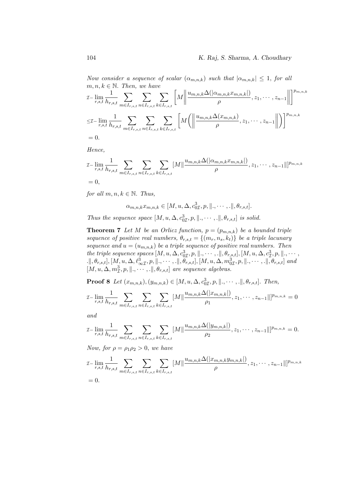Now consider a sequence of scalar  $(\alpha_{m,n,k})$  such that  $|\alpha_{m,n,k}| \leq 1$ , for all  $m, n, k \in \mathbb{N}$ . Then, we have

$$
\mathcal{I}-\lim_{r,s,t}\frac{1}{h_{r,s,t}}\sum_{m\in I_{r,s,t}}\sum_{n\in I_{r,s,t}}\sum_{k\in I_{r,s,t}}\left[M\left\|\frac{u_{m,n,k}\Delta(|\alpha_{m,n,k}x_{m,n,k}|)}{\rho},z_1,\cdots,z_{n-1}\right\|\right]^{p_{m,n,k}}
$$
\n
$$
\leq\mathcal{I}-\lim_{r,s,t}\frac{1}{h_{r,s,t}}\sum_{m\in I_{r,s,t}}\sum_{n\in I_{r,s,t}}\sum_{k\in I_{r,s,t}}\left[M\left(\left\|\frac{u_{m,n,k}\Delta(x_{m,n,k})}{\rho},z_1,\cdots,z_{n-1}\right\|\right)\right]^{p_{m,n,k}}
$$
\n
$$
=0.
$$

Hence,

$$
\mathcal{I}-\lim_{r,s,t} \frac{1}{h_{r,s,t}} \sum_{m \in I_{r,s,t}} \sum_{n \in I_{r,s,t}} \sum_{k \in I_{r,s,t}} [M] \frac{u_{m,n,k} \Delta(|\alpha_{m,n,k} x_{m,n,k}|)}{\rho}, z_1, \cdots, z_{n-1} \|\|_{p_{m,n,k}}
$$
  
= 0,

for all  $m, n, k \in \mathbb{N}$ . Thus,

$$
\alpha_{m,n,k} x_{m,n,k} \in [M, u, \Delta, c_{0\mathcal{I}}^3, p, \|\, \ldots \ldots, \|\, \theta_{r,s,t}].
$$

Thus the sequence space  $[M, u, \Delta, c^3_{0I}, p, \|\cdot, \cdots, \cdot\|, \theta_{r,s,t}]$  is solid.

**Theorem 7** Let M be an Orlicz function,  $p = (p_{m,n,k})$  be a bounded triple sequence of positive real numbers,  $\theta_{r,s,t} = \{(m_r, n_s, k_t)\}\;$  be a triple lacunary sequence and  $u = (u_{m,n,k})$  be a triple sequence of positive real numbers. Then the triple sequence spaces  $[M, u, \Delta, c^3_{0I}, p, \|\ldots\ldots\ldots\|\, \theta_{r,s,t}], [M, u, \Delta, c^3_{I}, p, \|\ldots\,$  $\mathbb{L}[\theta, \theta_{r,s,t}], [M_, u, \Delta, \ell^3_{\infty \mathcal{I}}, p, \|\ldots, \ldots, \|\theta_{r,s,t}], [M, u, \Delta, m^3_{0\mathcal{I}}, p, \|\ldots, \ldots, \|\theta_{r,s,t}]$  and  $[M, u, \Delta, m_{\mathcal{I}}^3, p, \|\ldots, \ldots, \ldots\|, \theta_{r,s,t}]$  are sequence algebras.

**Proof 8** Let  $(x_{m,n,k}), (y_{m,n,k}) \in [M, u, \Delta, c_{0\mathcal{I}}^3, p, \|\, \ldots, \ldots, \|\, \theta_{r,s,t}].$  Then, um,n,k∆(|xm,n,k|)

$$
\mathcal{I}-\lim_{r,s,t}\frac{1}{h_{r,s,t}}\sum_{m\in I_{r,s,t}}\sum_{n\in I_{r,s,t}}\sum_{k\in I_{r,s,t}}[M]\frac{u_{m,n,k}\Delta(|x_{m,n,k}|)}{\rho_1},z_1,\cdots,z_{n-1}\|]^{p_{m,n,k}}=0
$$

and

$$
\mathcal{I}-\lim_{r,s,t}\frac{1}{h_{r,s,t}}\sum_{m\in I_{r,s,t}}\sum_{n\in I_{r,s,t}}\sum_{k\in I_{r,s,t}}[M]\frac{u_{m,n,k}\Delta(|y_{m,n,k}|)}{\rho_2},z_1,\cdots,z_{n-1}]\|^{p_{m,n,k}}=0.
$$

Now, for  $\rho = \rho_1 \rho_2 > 0$ , we have

$$
\mathcal{I}-\lim_{r,s,t}\frac{1}{h_{r,s,t}}\sum_{m\in I_{r,s,t}}\sum_{n\in I_{r,s,t}}\sum_{k\in I_{r,s,t}}[M]\left|\frac{u_{m,n,k}\Delta(|x_{m,n,k}y_{m,n,k}|)}{\rho},z_1,\cdots,z_{n-1}|\right|^{p_{m,n,k}}
$$
  
= 0.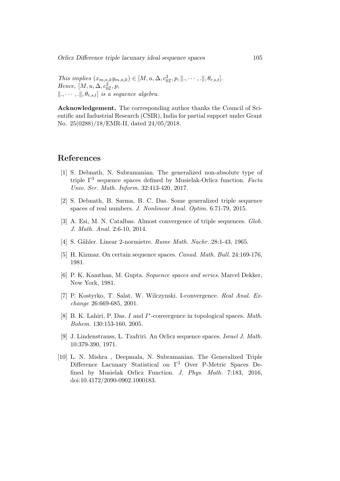This implies  $(x_{m,n,k}y_{m,n,k}) \in [M, u, \Delta, c^3_{0\mathcal{I}}, p, \|\ldots, \ldots\|, \theta_{r,s,t}].$ Hence,  $[M, u, \Delta, c_{0\mathcal{I}}^3, p,$  $\|\ldots\|, \theta_{r,s,t}\|$  is a sequence algebra.

Acknowledgement. The corresponding author thanks the Council of Scientific and Industrial Research (CSIR), India for partial support under Grant No. 25(0288)/18/EMR-II, dated 24/05/2018.

## References

- [1] S. Debnath, N. Subramanian. The generalized non-absolute type of triple  $\Gamma^3$  sequence spaces defined by Musielak-Orlicz function. Factor Univ. Ser. Math. Inform. 32:413-420, 2017.
- [2] S. Debnath, B. Sarma, B. C. Das. Some generalized triple sequence spaces of real numbers. J. Nonlinear Anal. Optim. 6:71-79, 2015.
- [3] A. Esi, M. N. Catalbas. Almost convergence of triple sequences. Glob. J. Math. Anal. 2:6-10, 2014.
- [4] S. Gähler. Linear 2-normietre. Rume Math. Nachr. 28:1-43, 1965.
- [5] H. Kizmaz. On certain sequence spaces. Canad. Math. Bull. 24:169-176, 1981.
- [6] P. K. Kamthan, M. Gupta. Sequence spaces and series. Marcel Dekker, New York, 1981.
- [7] P. Kostyrko, T. Salat, W. Wilczynski. I-convergence. Real Anal. Exchange 26:669-685, 2001.
- [8] B. K. Lahiri, P. Das. I and I<sup>\*</sup>-convergence in topological spaces. Math. Bohem. 130:153-160, 2005.
- [9] J. Lindenstrauss, L. Tzafriri. An Orlicz sequence spaces. Israel J. Math. 10:379-390, 1971.
- [10] L. N. Mishra , Deepmala, N. Subramanian. The Generalized Triple Difference Lacunary Statistical on Γ<sup>3</sup> Over P-Metric Spaces Defined by Musielak Orlicz Function. J. Phys. Math. 7:183, 2016, doi:10.4172/2090-0902.1000183.